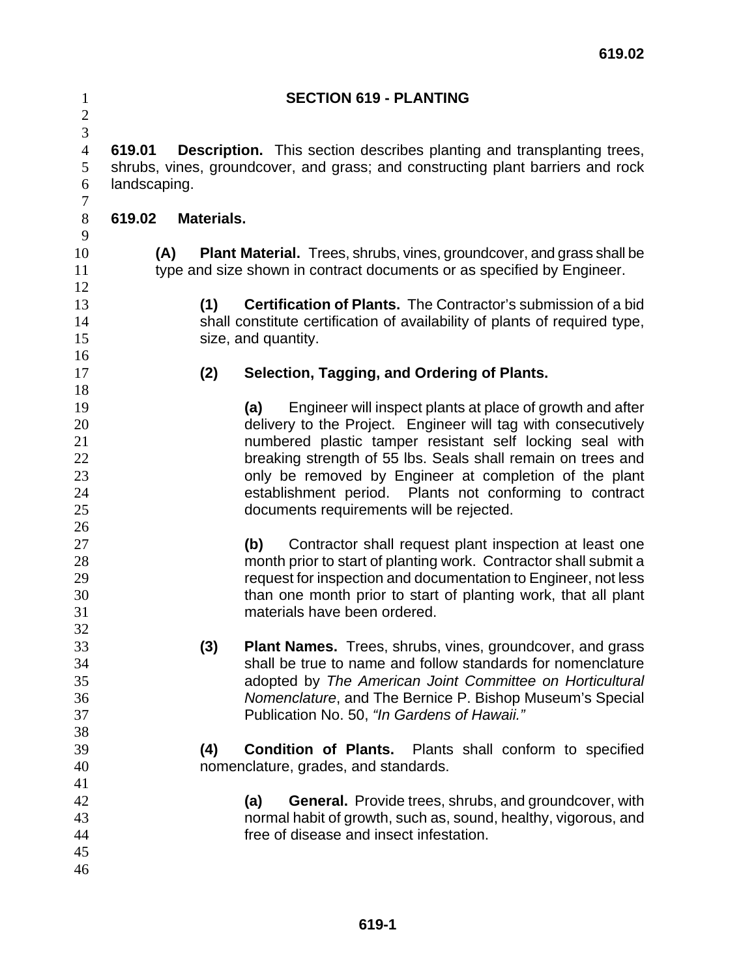| $\mathbf{1}$   |                      | <b>SECTION 619 - PLANTING</b>                                                   |
|----------------|----------------------|---------------------------------------------------------------------------------|
| $\overline{c}$ |                      |                                                                                 |
| $\overline{3}$ |                      |                                                                                 |
| $\overline{4}$ | 619.01               | <b>Description.</b> This section describes planting and transplanting trees,    |
| 5              |                      | shrubs, vines, groundcover, and grass; and constructing plant barriers and rock |
| 6              | landscaping.         |                                                                                 |
| 7              |                      |                                                                                 |
| $8\,$          | 619.02<br>Materials. |                                                                                 |
| 9              |                      |                                                                                 |
| 10             | (A)                  | <b>Plant Material.</b> Trees, shrubs, vines, groundcover, and grass shall be    |
| 11             |                      | type and size shown in contract documents or as specified by Engineer.          |
| 12             |                      |                                                                                 |
| 13             | (1)                  | <b>Certification of Plants.</b> The Contractor's submission of a bid            |
| 14             |                      | shall constitute certification of availability of plants of required type,      |
| 15             |                      | size, and quantity.                                                             |
| 16             |                      |                                                                                 |
| 17             | (2)                  | Selection, Tagging, and Ordering of Plants.                                     |
| 18             |                      |                                                                                 |
| 19             |                      | Engineer will inspect plants at place of growth and after<br>(a)                |
| 20             |                      | delivery to the Project. Engineer will tag with consecutively                   |
| 21             |                      | numbered plastic tamper resistant self locking seal with                        |
| 22             |                      | breaking strength of 55 lbs. Seals shall remain on trees and                    |
| 23             |                      | only be removed by Engineer at completion of the plant                          |
| 24             |                      | establishment period. Plants not conforming to contract                         |
| 25             |                      | documents requirements will be rejected.                                        |
| 26             |                      |                                                                                 |
| 27             |                      | Contractor shall request plant inspection at least one<br>(b)                   |
| 28             |                      | month prior to start of planting work. Contractor shall submit a                |
| 29             |                      | request for inspection and documentation to Engineer, not less                  |
| 30             |                      | than one month prior to start of planting work, that all plant                  |
| 31             |                      | materials have been ordered.                                                    |
| 32             |                      |                                                                                 |
| 33             | (3)                  | Plant Names. Trees, shrubs, vines, groundcover, and grass                       |
| 34             |                      | shall be true to name and follow standards for nomenclature                     |
| 35             |                      | adopted by The American Joint Committee on Horticultural                        |
| 36             |                      | Nomenclature, and The Bernice P. Bishop Museum's Special                        |
| 37             |                      | Publication No. 50, "In Gardens of Hawaii."                                     |
| 38             |                      |                                                                                 |
| 39             | (4)                  | <b>Condition of Plants.</b><br>Plants shall conform to specified                |
| 40             |                      | nomenclature, grades, and standards.                                            |
| 41             |                      |                                                                                 |
| 42             |                      | <b>General.</b> Provide trees, shrubs, and groundcover, with<br>(a)             |
| 43             |                      | normal habit of growth, such as, sound, healthy, vigorous, and                  |
| 44             |                      | free of disease and insect infestation.                                         |
| 45             |                      |                                                                                 |
| 46             |                      |                                                                                 |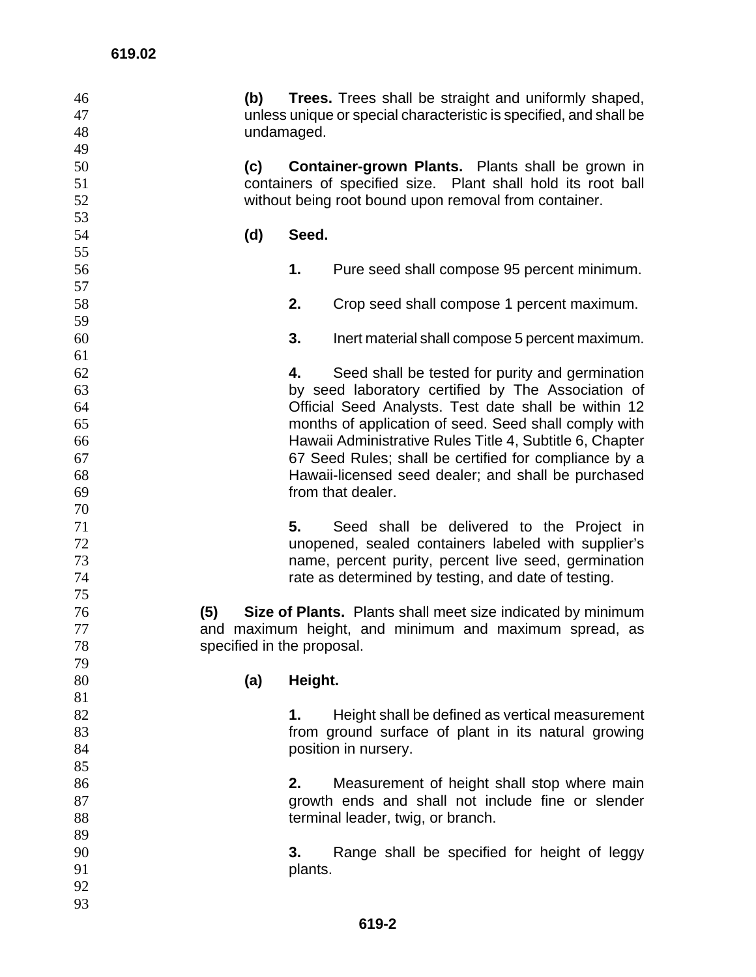| 46 | (b) | <b>Trees.</b> Trees shall be straight and uniformly shaped,              |
|----|-----|--------------------------------------------------------------------------|
| 47 |     | unless unique or special characteristic is specified, and shall be       |
| 48 |     | undamaged.                                                               |
| 49 |     |                                                                          |
| 50 | (c) | <b>Container-grown Plants.</b> Plants shall be grown in                  |
| 51 |     | containers of specified size. Plant shall hold its root ball             |
| 52 |     | without being root bound upon removal from container.                    |
| 53 |     |                                                                          |
| 54 | (d) | Seed.                                                                    |
| 55 |     |                                                                          |
| 56 |     | 1.<br>Pure seed shall compose 95 percent minimum.                        |
| 57 |     |                                                                          |
| 58 |     | 2.<br>Crop seed shall compose 1 percent maximum.                         |
| 59 |     |                                                                          |
| 60 |     | 3.<br>Inert material shall compose 5 percent maximum.                    |
| 61 |     |                                                                          |
| 62 |     | Seed shall be tested for purity and germination<br>4.                    |
| 63 |     | by seed laboratory certified by The Association of                       |
| 64 |     | Official Seed Analysts. Test date shall be within 12                     |
| 65 |     | months of application of seed. Seed shall comply with                    |
| 66 |     | Hawaii Administrative Rules Title 4, Subtitle 6, Chapter                 |
| 67 |     |                                                                          |
|    |     | 67 Seed Rules; shall be certified for compliance by a                    |
| 68 |     | Hawaii-licensed seed dealer; and shall be purchased<br>from that dealer. |
| 69 |     |                                                                          |
| 70 |     |                                                                          |
| 71 |     | 5.<br>Seed shall be delivered to the Project in                          |
| 72 |     | unopened, sealed containers labeled with supplier's                      |
| 73 |     | name, percent purity, percent live seed, germination                     |
| 74 |     | rate as determined by testing, and date of testing.                      |
| 75 |     |                                                                          |
| 76 | (5) | Size of Plants. Plants shall meet size indicated by minimum              |
| 77 |     | and maximum height, and minimum and maximum spread, as                   |
| 78 |     | specified in the proposal.                                               |
| 79 |     |                                                                          |
| 80 | (a) | Height.                                                                  |
| 81 |     |                                                                          |
| 82 |     | Height shall be defined as vertical measurement<br>1.                    |
| 83 |     | from ground surface of plant in its natural growing                      |
| 84 |     | position in nursery.                                                     |
| 85 |     |                                                                          |
| 86 |     | Measurement of height shall stop where main<br>2.                        |
| 87 |     | growth ends and shall not include fine or slender                        |
| 88 |     | terminal leader, twig, or branch.                                        |
| 89 |     |                                                                          |
| 90 |     | 3.<br>Range shall be specified for height of leggy                       |
| 91 |     | plants.                                                                  |
| 92 |     |                                                                          |
| 93 |     |                                                                          |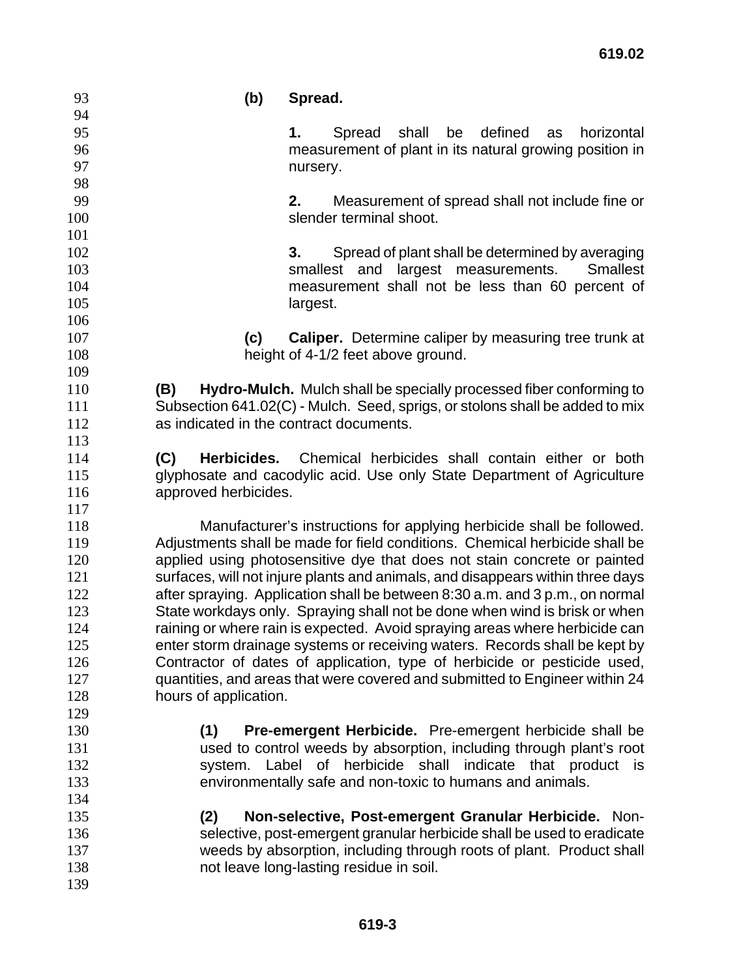| 93  | (b)                   | Spread.                                                                        |
|-----|-----------------------|--------------------------------------------------------------------------------|
| 94  |                       |                                                                                |
| 95  |                       | shall<br>be<br>defined<br>horizontal<br>Spread<br>as<br>1.                     |
| 96  |                       | measurement of plant in its natural growing position in                        |
| 97  |                       | nursery.                                                                       |
| 98  |                       |                                                                                |
| 99  |                       | 2.<br>Measurement of spread shall not include fine or                          |
| 100 |                       | slender terminal shoot.                                                        |
| 101 |                       |                                                                                |
| 102 |                       | Spread of plant shall be determined by averaging<br>3.                         |
| 103 |                       | smallest and largest<br><b>Smallest</b><br>measurements.                       |
| 104 |                       | measurement shall not be less than 60 percent of                               |
| 105 |                       | largest.                                                                       |
| 106 |                       |                                                                                |
| 107 | (c)                   | <b>Caliper.</b> Determine caliper by measuring tree trunk at                   |
| 108 |                       | height of 4-1/2 feet above ground.                                             |
| 109 |                       |                                                                                |
| 110 | (B)                   | Hydro-Mulch. Mulch shall be specially processed fiber conforming to            |
| 111 |                       | Subsection 641.02(C) - Mulch. Seed, sprigs, or stolons shall be added to mix   |
| 112 |                       | as indicated in the contract documents.                                        |
| 113 |                       |                                                                                |
| 114 | (C)                   | Herbicides. Chemical herbicides shall contain either or both                   |
| 115 |                       | glyphosate and cacodylic acid. Use only State Department of Agriculture        |
| 116 | approved herbicides.  |                                                                                |
| 117 |                       |                                                                                |
| 118 |                       | Manufacturer's instructions for applying herbicide shall be followed.          |
| 119 |                       | Adjustments shall be made for field conditions. Chemical herbicide shall be    |
| 120 |                       | applied using photosensitive dye that does not stain concrete or painted       |
| 121 |                       | surfaces, will not injure plants and animals, and disappears within three days |
| 122 |                       | after spraying. Application shall be between 8:30 a.m. and 3 p.m., on normal   |
| 123 |                       | State workdays only. Spraying shall not be done when wind is brisk or when     |
| 124 |                       | raining or where rain is expected. Avoid spraying areas where herbicide can    |
| 125 |                       | enter storm drainage systems or receiving waters. Records shall be kept by     |
| 126 |                       | Contractor of dates of application, type of herbicide or pesticide used,       |
| 127 |                       | quantities, and areas that were covered and submitted to Engineer within 24    |
| 128 | hours of application. |                                                                                |
| 129 |                       |                                                                                |
| 130 | (1)                   | <b>Pre-emergent Herbicide.</b> Pre-emergent herbicide shall be                 |
| 131 |                       | used to control weeds by absorption, including through plant's root            |
| 132 |                       | system. Label of herbicide shall indicate that product is                      |
| 133 |                       | environmentally safe and non-toxic to humans and animals.                      |
| 134 |                       |                                                                                |
| 135 | (2)                   | Non-selective, Post-emergent Granular Herbicide. Non-                          |
| 136 |                       | selective, post-emergent granular herbicide shall be used to eradicate         |
| 137 |                       | weeds by absorption, including through roots of plant. Product shall           |
| 138 |                       | not leave long-lasting residue in soil.                                        |
| 139 |                       |                                                                                |
|     |                       |                                                                                |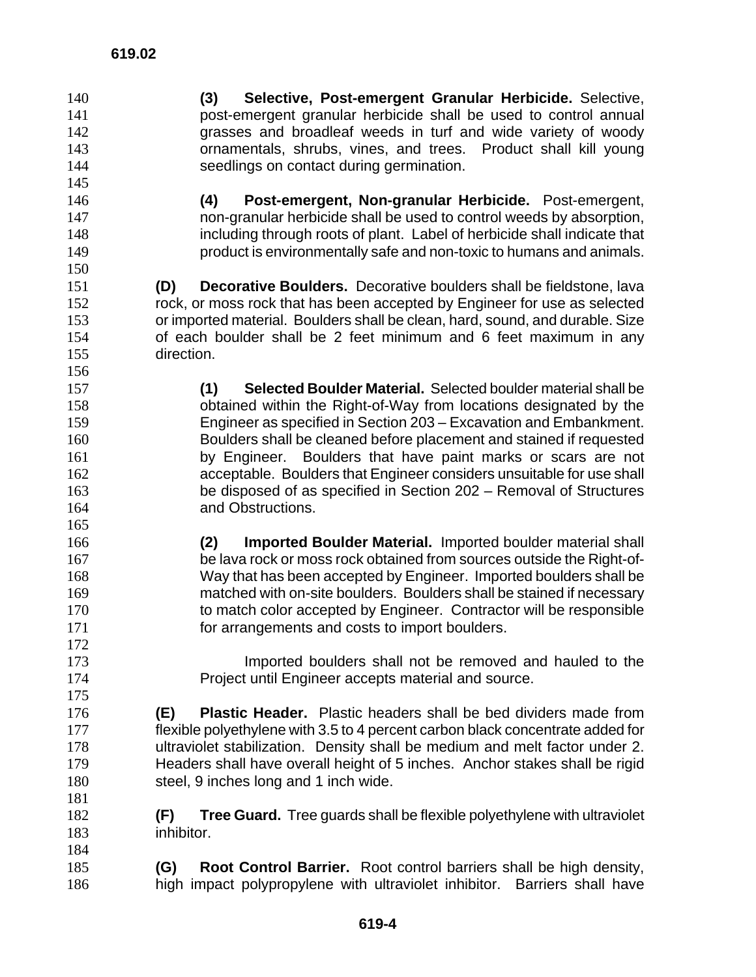**(3) Selective, Post-emergent Granular Herbicide.** Selective, post-emergent granular herbicide shall be used to control annual grasses and broadleaf weeds in turf and wide variety of woody ornamentals, shrubs, vines, and trees. Product shall kill young seedlings on contact during germination. **(4) Post-emergent, Non-granular Herbicide.** Post-emergent, non-granular herbicide shall be used to control weeds by absorption, including through roots of plant. Label of herbicide shall indicate that product is environmentally safe and non-toxic to humans and animals. **(D) Decorative Boulders.** Decorative boulders shall be fieldstone, lava rock, or moss rock that has been accepted by Engineer for use as selected or imported material. Boulders shall be clean, hard, sound, and durable. Size of each boulder shall be 2 feet minimum and 6 feet maximum in any direction. **(1) Selected Boulder Material.** Selected boulder material shall be obtained within the Right-of-Way from locations designated by the Engineer as specified in Section 203 – Excavation and Embankment. Boulders shall be cleaned before placement and stained if requested by Engineer. Boulders that have paint marks or scars are not acceptable. Boulders that Engineer considers unsuitable for use shall be disposed of as specified in Section 202 – Removal of Structures and Obstructions. **(2) Imported Boulder Material.** Imported boulder material shall 167 be lava rock or moss rock obtained from sources outside the Right-of-Way that has been accepted by Engineer. Imported boulders shall be matched with on-site boulders. Boulders shall be stained if necessary 170 to match color accepted by Engineer. Contractor will be responsible for arrangements and costs to import boulders. Imported boulders shall not be removed and hauled to the Project until Engineer accepts material and source. **(E) Plastic Header.** Plastic headers shall be bed dividers made from flexible polyethylene with 3.5 to 4 percent carbon black concentrate added for ultraviolet stabilization. Density shall be medium and melt factor under 2. Headers shall have overall height of 5 inches. Anchor stakes shall be rigid steel, 9 inches long and 1 inch wide. **(F) Tree Guard.** Tree guards shall be flexible polyethylene with ultraviolet inhibitor. **(G) Root Control Barrier.** Root control barriers shall be high density, high impact polypropylene with ultraviolet inhibitor. Barriers shall have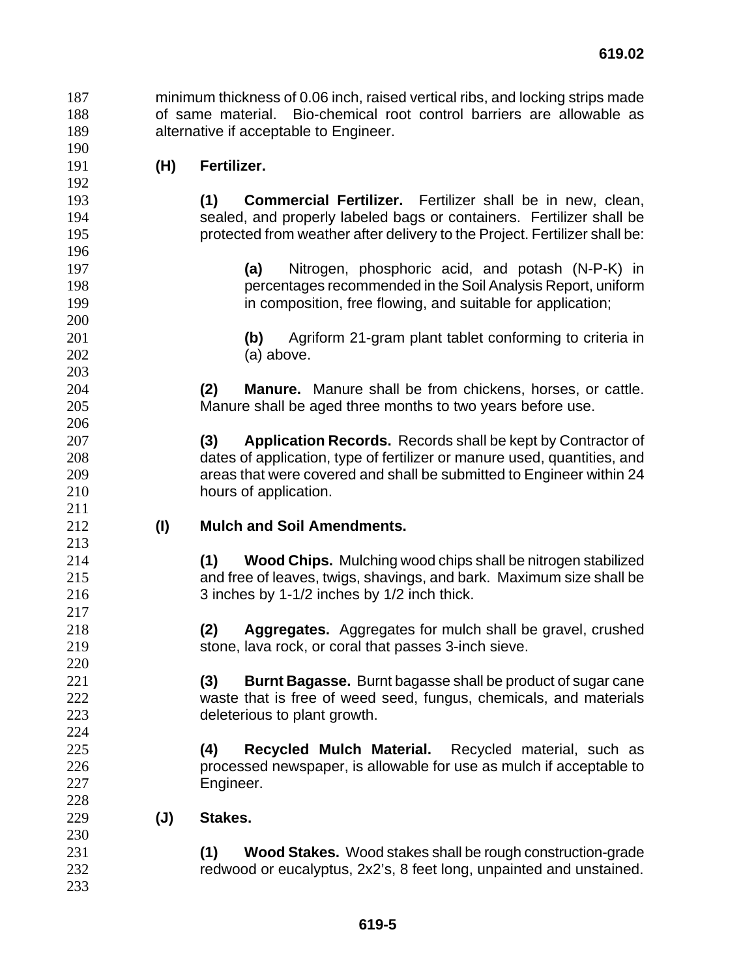minimum thickness of 0.06 inch, raised vertical ribs, and locking strips made of same material. Bio-chemical root control barriers are allowable as alternative if acceptable to Engineer.

**(H) Fertilizer.** 

**(1) Commercial Fertilizer.** Fertilizer shall be in new, clean, sealed, and properly labeled bags or containers. Fertilizer shall be protected from weather after delivery to the Project. Fertilizer shall be:

**(a)** Nitrogen, phosphoric acid, and potash (N-P-K) in percentages recommended in the Soil Analysis Report, uniform **in composition, free flowing, and suitable for application;** 

**(b)** Agriform 21-gram plant tablet conforming to criteria in (a) above.

**(2) Manure.** Manure shall be from chickens, horses, or cattle. Manure shall be aged three months to two years before use.

**(3) Application Records.** Records shall be kept by Contractor of dates of application, type of fertilizer or manure used, quantities, and areas that were covered and shall be submitted to Engineer within 24 hours of application.

**(I) Mulch and Soil Amendments.** 

**(1) Wood Chips.** Mulching wood chips shall be nitrogen stabilized and free of leaves, twigs, shavings, and bark. Maximum size shall be 3 inches by 1-1/2 inches by 1/2 inch thick.

**(2) Aggregates.** Aggregates for mulch shall be gravel, crushed stone, lava rock, or coral that passes 3-inch sieve.

**(3) Burnt Bagasse.** Burnt bagasse shall be product of sugar cane waste that is free of weed seed, fungus, chemicals, and materials deleterious to plant growth.

**(4) Recycled Mulch Material.** Recycled material, such as processed newspaper, is allowable for use as mulch if acceptable to Engineer.

**(J) Stakes.** 

**(1) Wood Stakes.** Wood stakes shall be rough construction-grade redwood or eucalyptus, 2x2's, 8 feet long, unpainted and unstained.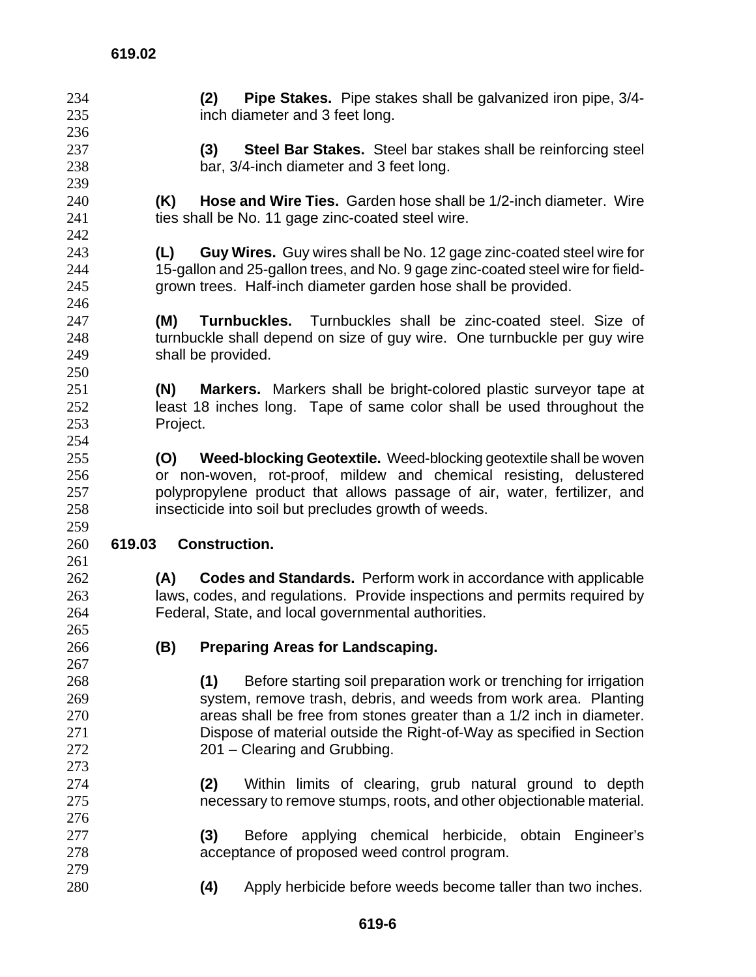| 234           | <b>Pipe Stakes.</b> Pipe stakes shall be galvanized iron pipe, 3/4-<br>(2)      |
|---------------|---------------------------------------------------------------------------------|
| 235           | inch diameter and 3 feet long.                                                  |
| 236           |                                                                                 |
| 237           | Steel Bar Stakes. Steel bar stakes shall be reinforcing steel<br>(3)            |
| 238           | bar, 3/4-inch diameter and 3 feet long.                                         |
| 239           |                                                                                 |
| 240           | Hose and Wire Ties. Garden hose shall be 1/2-inch diameter. Wire<br>(K)         |
| 241           | ties shall be No. 11 gage zinc-coated steel wire.                               |
| 242           |                                                                                 |
| 243           | Guy Wires. Guy wires shall be No. 12 gage zinc-coated steel wire for<br>(L)     |
| 244           | 15-gallon and 25-gallon trees, and No. 9 gage zinc-coated steel wire for field- |
| 245           | grown trees. Half-inch diameter garden hose shall be provided.                  |
| 246           |                                                                                 |
| 247           | (M)<br><b>Turnbuckles.</b> Turnbuckles shall be zinc-coated steel. Size of      |
| 248           | turnbuckle shall depend on size of guy wire. One turnbuckle per guy wire        |
| 249           | shall be provided.                                                              |
| 250           |                                                                                 |
| 251           | <b>Markers.</b> Markers shall be bright-colored plastic surveyor tape at<br>(N) |
| 252           | least 18 inches long. Tape of same color shall be used throughout the           |
| 253           | Project.                                                                        |
| 254           |                                                                                 |
| 255           | Weed-blocking Geotextile. Weed-blocking geotextile shall be woven<br>(O)        |
| 256           | or non-woven, rot-proof, mildew and chemical resisting, delustered              |
| 257           | polypropylene product that allows passage of air, water, fertilizer, and        |
|               |                                                                                 |
|               |                                                                                 |
| 258<br>259    | insecticide into soil but precludes growth of weeds.                            |
| 260<br>619.03 | <b>Construction.</b>                                                            |
| 261           |                                                                                 |
| 262           | (A)<br><b>Codes and Standards.</b> Perform work in accordance with applicable   |
| 263           | laws, codes, and regulations. Provide inspections and permits required by       |
| 264           | Federal, State, and local governmental authorities.                             |
| 265           |                                                                                 |
| 266           |                                                                                 |
| 267           | (B)<br><b>Preparing Areas for Landscaping.</b>                                  |
| 268           | (1)<br>Before starting soil preparation work or trenching for irrigation        |
| 269           | system, remove trash, debris, and weeds from work area. Planting                |
| 270           | areas shall be free from stones greater than a 1/2 inch in diameter.            |
| 271           | Dispose of material outside the Right-of-Way as specified in Section            |
| 272           | 201 – Clearing and Grubbing.                                                    |
| 273           |                                                                                 |
| 274           | Within limits of clearing, grub natural ground to depth<br>(2)                  |
| 275           | necessary to remove stumps, roots, and other objectionable material.            |
| 276           |                                                                                 |
| 277           | (3)<br>Before applying chemical herbicide, obtain Engineer's                    |
| 278           | acceptance of proposed weed control program.                                    |
| 279           |                                                                                 |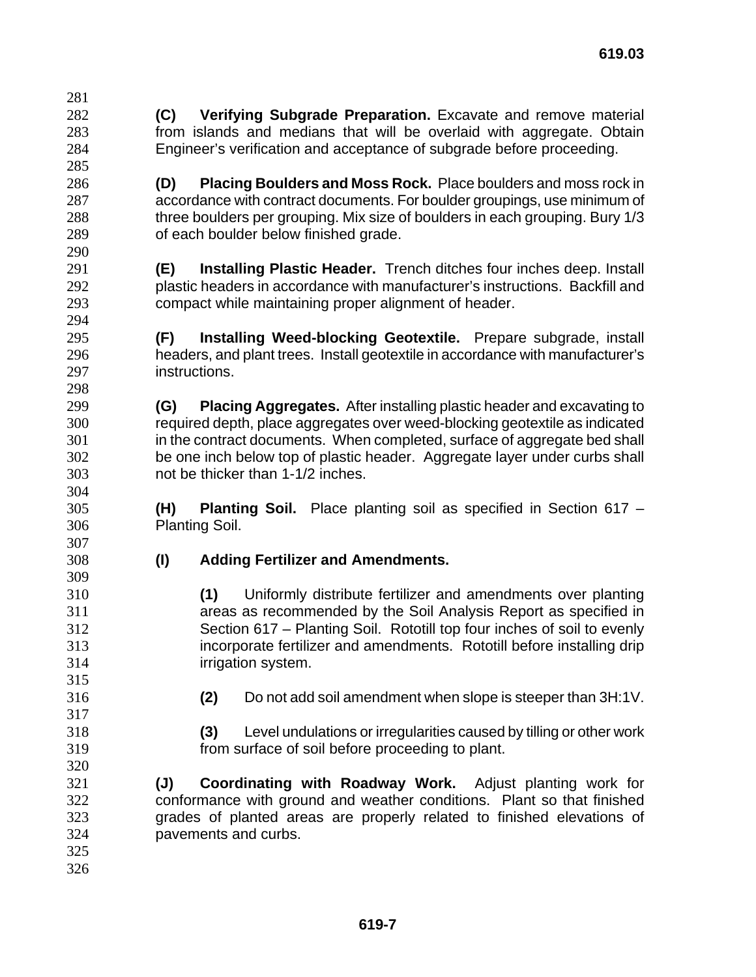- **(C) Verifying Subgrade Preparation.** Excavate and remove material from islands and medians that will be overlaid with aggregate. Obtain Engineer's verification and acceptance of subgrade before proceeding.
- **(D) Placing Boulders and Moss Rock.** Place boulders and moss rock in accordance with contract documents. For boulder groupings, use minimum of three boulders per grouping. Mix size of boulders in each grouping. Bury 1/3 of each boulder below finished grade.
- **(E) Installing Plastic Header.** Trench ditches four inches deep. Install plastic headers in accordance with manufacturer's instructions. Backfill and compact while maintaining proper alignment of header.
- **(F) Installing Weed-blocking Geotextile.** Prepare subgrade, install headers, and plant trees. Install geotextile in accordance with manufacturer's instructions.
- **(G) Placing Aggregates.** After installing plastic header and excavating to required depth, place aggregates over weed-blocking geotextile as indicated in the contract documents. When completed, surface of aggregate bed shall be one inch below top of plastic header. Aggregate layer under curbs shall not be thicker than 1-1/2 inches.
- **(H) Planting Soil.** Place planting soil as specified in Section 617 Planting Soil.
- 

- **(I) Adding Fertilizer and Amendments.**
- **(1)** Uniformly distribute fertilizer and amendments over planting areas as recommended by the Soil Analysis Report as specified in Section 617 – Planting Soil. Rototill top four inches of soil to evenly incorporate fertilizer and amendments. Rototill before installing drip irrigation system.
- 

- **(2)** Do not add soil amendment when slope is steeper than 3H:1V.
- **(3)** Level undulations or irregularities caused by tilling or other work from surface of soil before proceeding to plant.
- **(J) Coordinating with Roadway Work.** Adjust planting work for conformance with ground and weather conditions. Plant so that finished grades of planted areas are properly related to finished elevations of pavements and curbs.
-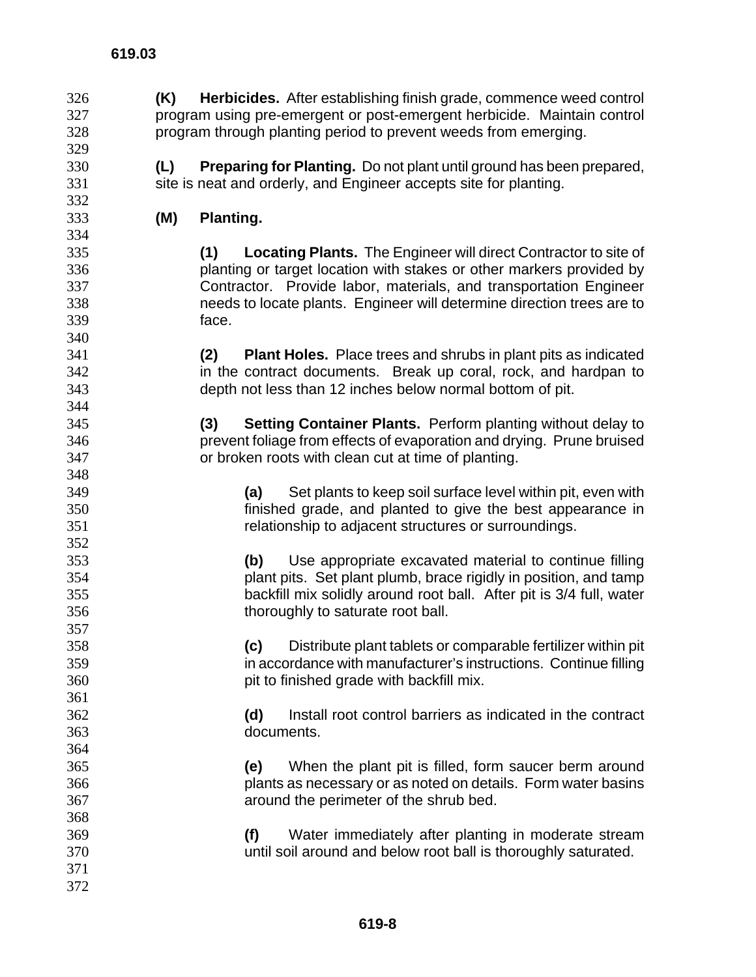**(K) Herbicides.** After establishing finish grade, commence weed control program using pre-emergent or post-emergent herbicide. Maintain control program through planting period to prevent weeds from emerging. **(L) Preparing for Planting.** Do not plant until ground has been prepared, 331 site is neat and orderly, and Engineer accepts site for planting. **(M) Planting. (1) Locating Plants.** The Engineer will direct Contractor to site of planting or target location with stakes or other markers provided by Contractor. Provide labor, materials, and transportation Engineer needs to locate plants. Engineer will determine direction trees are to face. **(2) Plant Holes.** Place trees and shrubs in plant pits as indicated in the contract documents. Break up coral, rock, and hardpan to depth not less than 12 inches below normal bottom of pit. **(3) Setting Container Plants.** Perform planting without delay to prevent foliage from effects of evaporation and drying. Prune bruised or broken roots with clean cut at time of planting. **(a)** Set plants to keep soil surface level within pit, even with finished grade, and planted to give the best appearance in relationship to adjacent structures or surroundings. **(b)** Use appropriate excavated material to continue filling plant pits. Set plant plumb, brace rigidly in position, and tamp backfill mix solidly around root ball. After pit is 3/4 full, water thoroughly to saturate root ball. **(c)** Distribute plant tablets or comparable fertilizer within pit in accordance with manufacturer's instructions. Continue filling pit to finished grade with backfill mix. **(d)** Install root control barriers as indicated in the contract documents. **(e)** When the plant pit is filled, form saucer berm around plants as necessary or as noted on details. Form water basins around the perimeter of the shrub bed. **(f)** Water immediately after planting in moderate stream until soil around and below root ball is thoroughly saturated.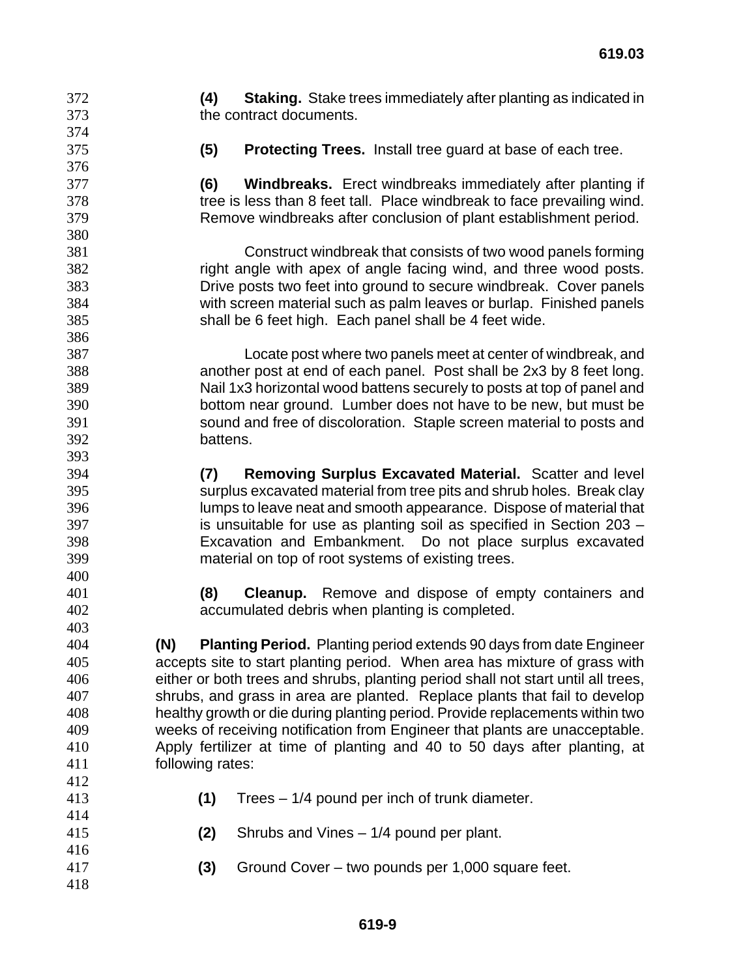**(4) Staking.** Stake trees immediately after planting as indicated in the contract documents.

**(5) Protecting Trees.** Install tree guard at base of each tree.

**(6) Windbreaks.** Erect windbreaks immediately after planting if tree is less than 8 feet tall. Place windbreak to face prevailing wind. Remove windbreaks after conclusion of plant establishment period.

Construct windbreak that consists of two wood panels forming right angle with apex of angle facing wind, and three wood posts. Drive posts two feet into ground to secure windbreak. Cover panels with screen material such as palm leaves or burlap. Finished panels shall be 6 feet high. Each panel shall be 4 feet wide.

Locate post where two panels meet at center of windbreak, and another post at end of each panel. Post shall be 2x3 by 8 feet long. Nail 1x3 horizontal wood battens securely to posts at top of panel and bottom near ground. Lumber does not have to be new, but must be sound and free of discoloration. Staple screen material to posts and battens.

**(7) Removing Surplus Excavated Material.** Scatter and level surplus excavated material from tree pits and shrub holes. Break clay lumps to leave neat and smooth appearance. Dispose of material that is unsuitable for use as planting soil as specified in Section 203 – Excavation and Embankment. Do not place surplus excavated material on top of root systems of existing trees.

**(8) Cleanup.** Remove and dispose of empty containers and accumulated debris when planting is completed.

**(N) Planting Period.** Planting period extends 90 days from date Engineer accepts site to start planting period. When area has mixture of grass with either or both trees and shrubs, planting period shall not start until all trees, shrubs, and grass in area are planted. Replace plants that fail to develop healthy growth or die during planting period. Provide replacements within two weeks of receiving notification from Engineer that plants are unacceptable. Apply fertilizer at time of planting and 40 to 50 days after planting, at following rates: 

- **(1)** Trees 1/4 pound per inch of trunk diameter.
- **(2)** Shrubs and Vines 1/4 pound per plant.
- **(3)** Ground Cover two pounds per 1,000 square feet.
-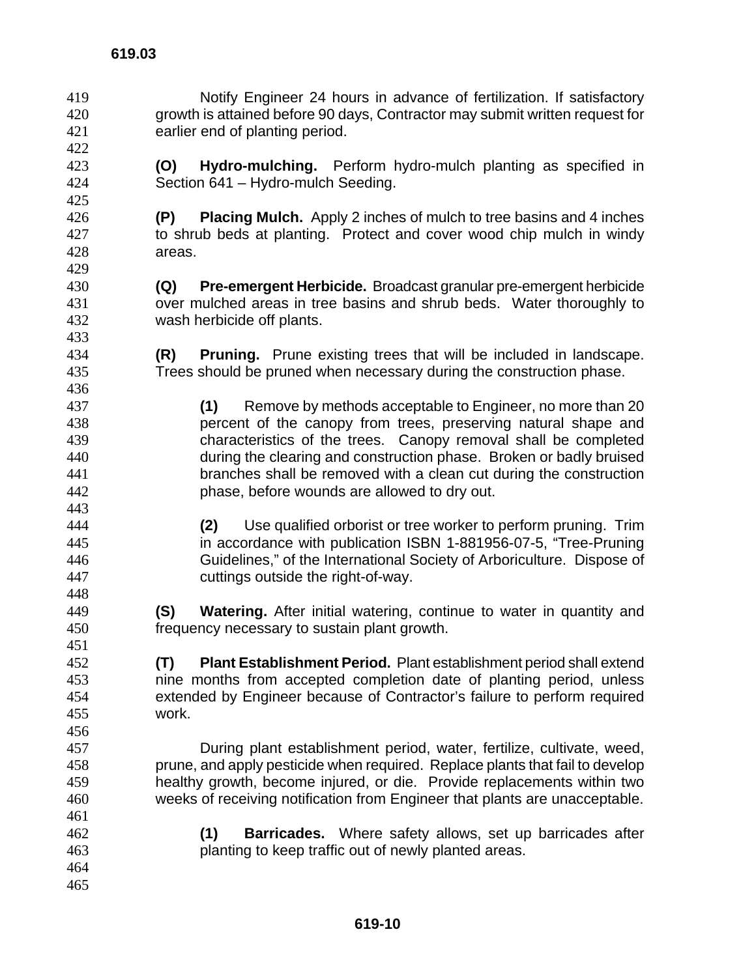Notify Engineer 24 hours in advance of fertilization. If satisfactory growth is attained before 90 days, Contractor may submit written request for earlier end of planting period. **(O) Hydro-mulching.** Perform hydro-mulch planting as specified in Section 641 – Hydro-mulch Seeding. **(P) Placing Mulch.** Apply 2 inches of mulch to tree basins and 4 inches to shrub beds at planting. Protect and cover wood chip mulch in windy areas. **(Q) Pre-emergent Herbicide.** Broadcast granular pre-emergent herbicide over mulched areas in tree basins and shrub beds. Water thoroughly to wash herbicide off plants. **(R) Pruning.** Prune existing trees that will be included in landscape. Trees should be pruned when necessary during the construction phase. **(1)** Remove by methods acceptable to Engineer, no more than 20 percent of the canopy from trees, preserving natural shape and characteristics of the trees. Canopy removal shall be completed during the clearing and construction phase. Broken or badly bruised branches shall be removed with a clean cut during the construction phase, before wounds are allowed to dry out. **(2)** Use qualified orborist or tree worker to perform pruning. Trim in accordance with publication ISBN 1-881956-07-5, "Tree-Pruning Guidelines," of the International Society of Arboriculture. Dispose of cuttings outside the right-of-way. **(S) Watering.** After initial watering, continue to water in quantity and frequency necessary to sustain plant growth. **(T) Plant Establishment Period.** Plant establishment period shall extend nine months from accepted completion date of planting period, unless extended by Engineer because of Contractor's failure to perform required work. During plant establishment period, water, fertilize, cultivate, weed, prune, and apply pesticide when required. Replace plants that fail to develop healthy growth, become injured, or die. Provide replacements within two weeks of receiving notification from Engineer that plants are unacceptable. **(1) Barricades.** Where safety allows, set up barricades after planting to keep traffic out of newly planted areas.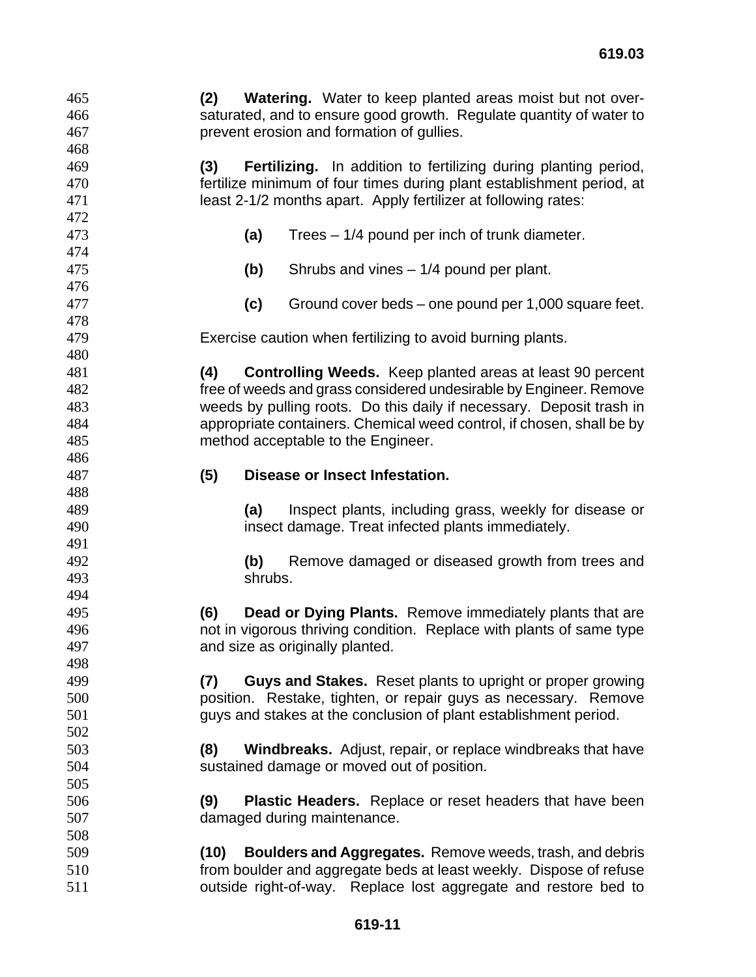**(2) Watering.** Water to keep planted areas moist but not over-saturated, and to ensure good growth. Regulate quantity of water to prevent erosion and formation of gullies. **(3) Fertilizing.** In addition to fertilizing during planting period, fertilize minimum of four times during plant establishment period, at least 2-1/2 months apart. Apply fertilizer at following rates: **(a)** Trees – 1/4 pound per inch of trunk diameter. **(b)** Shrubs and vines – 1/4 pound per plant. **(c)** Ground cover beds – one pound per 1,000 square feet. Exercise caution when fertilizing to avoid burning plants. **(4) Controlling Weeds.** Keep planted areas at least 90 percent free of weeds and grass considered undesirable by Engineer. Remove weeds by pulling roots. Do this daily if necessary. Deposit trash in appropriate containers. Chemical weed control, if chosen, shall be by method acceptable to the Engineer. **(5) Disease or Insect Infestation. (a)** Inspect plants, including grass, weekly for disease or insect damage. Treat infected plants immediately. **(b)** Remove damaged or diseased growth from trees and shrubs. **(6) Dead or Dying Plants.** Remove immediately plants that are not in vigorous thriving condition. Replace with plants of same type and size as originally planted. **(7) Guys and Stakes.** Reset plants to upright or proper growing position. Restake, tighten, or repair guys as necessary. Remove guys and stakes at the conclusion of plant establishment period. **(8) Windbreaks.** Adjust, repair, or replace windbreaks that have sustained damage or moved out of position. **(9) Plastic Headers.** Replace or reset headers that have been damaged during maintenance. **(10) Boulders and Aggregates.** Remove weeds, trash, and debris from boulder and aggregate beds at least weekly. Dispose of refuse outside right-of-way. Replace lost aggregate and restore bed to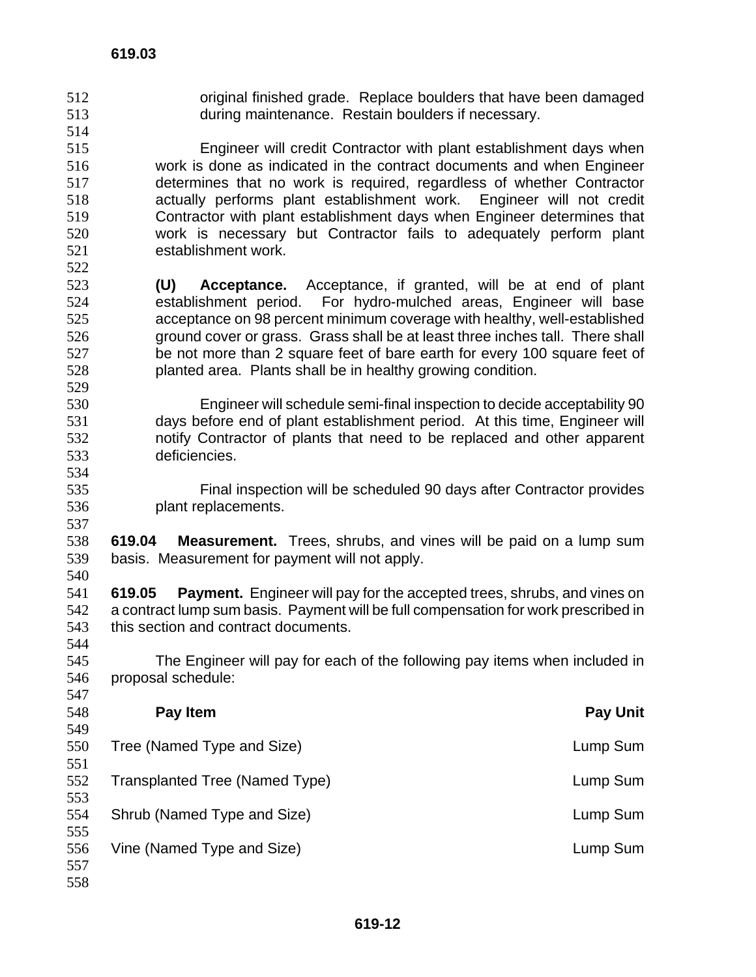original finished grade. Replace boulders that have been damaged during maintenance. Restain boulders if necessary. Engineer will credit Contractor with plant establishment days when work is done as indicated in the contract documents and when Engineer determines that no work is required, regardless of whether Contractor actually performs plant establishment work. Engineer will not credit Contractor with plant establishment days when Engineer determines that work is necessary but Contractor fails to adequately perform plant establishment work. **(U) Acceptance.** Acceptance, if granted, will be at end of plant establishment period. For hydro-mulched areas, Engineer will base acceptance on 98 percent minimum coverage with healthy, well-established ground cover or grass. Grass shall be at least three inches tall. There shall be not more than 2 square feet of bare earth for every 100 square feet of planted area. Plants shall be in healthy growing condition. Engineer will schedule semi-final inspection to decide acceptability 90 days before end of plant establishment period. At this time, Engineer will notify Contractor of plants that need to be replaced and other apparent deficiencies. Final inspection will be scheduled 90 days after Contractor provides plant replacements. **619.03 619.04 Measurement.** Trees, shrubs, and vines will be paid on a lump sum basis. Measurement for payment will not apply. **619.05 Payment.** Engineer will pay for the accepted trees, shrubs, and vines on a contract lump sum basis. Payment will be full compensation for work prescribed in this section and contract documents. The Engineer will pay for each of the following pay items when included in proposal schedule: **Pay Item Pay Unit**  Tree (Named Type and Size) Lump Sum Transplanted Tree (Named Type) Lump Sum Shrub (Named Type and Size) Lump Sum Vine (Named Type and Size) Lump Sum